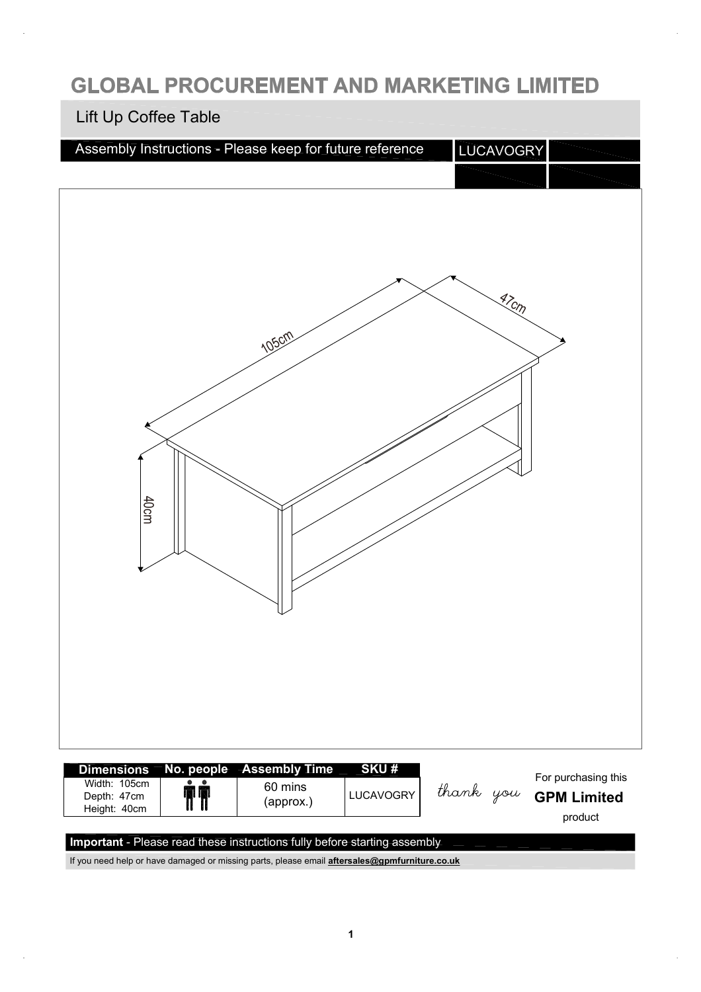#### **GLOBAL PROCUREMENT AND MARKETING LIMITED**

#### Lift Up Coffee Table

| Assembly Instructions - Please keep for future reference                                     | LUCAVOGRY |                     |
|----------------------------------------------------------------------------------------------|-----------|---------------------|
| 105cm<br>40cm                                                                                | $47$ Cm   |                     |
| <b>SKU#</b><br>No. people Assembly Time<br>Dimensions<br>Width: 105cm<br>$\bullet$ $\bullet$ |           | For purchasing this |

Width: 105cm 60 mins ÑÑ LUCAVOGRY Depth: 47cm **GPM Limited** (approx.) Height: 40cm product **Important** - Please read these instructions fully before starting assembly

If you need help or have damaged or missing parts, please email **[aftersales@gpmfurniture.co.uk](mailto:aftersales@gpmfurniture.co.uk)**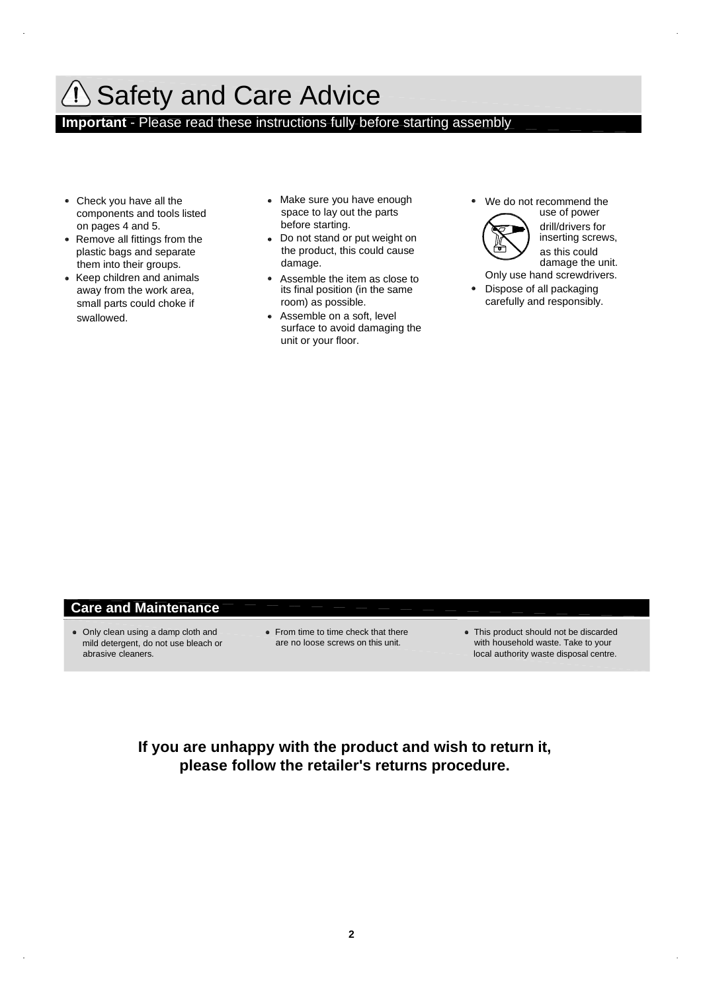# **Also Safety and Care Advice**

**Important** - Please read these instructions fully before starting assembly

- Check you have all the components and tools listed on pages 4 and 5.
- Remove all fittings from the plastic bags and separate them into their groups.
- Keep children and animals away from the work area, small parts could choke if swallowed.
- Make sure you have enough space to lay out the parts before starting.
- Do not stand or put weight on the product, this could cause damage.
- Assemble the item as close to its final position (in the same room) as possible.
- Assemble on a soft, level surface to avoid damaging the unit or your floor.
- We do not recommend the use of power drill/drivers for



- inserting screws, as this could damage the unit. Only use hand screwdrivers.
- Dispose of all packaging  $\bullet$ carefully and responsibly.

#### **Care and Maintenance**

- Only clean using a damp cloth and mild detergent, do not use bleach or abrasive cleaners.
- From time to time check that there are no loose screws on this unit.
- This product should not be discarded with household waste. Take to your local authority waste disposal centre.

**If you are unhappy with the product and wish to return it, please follow the retailer's returns procedure.**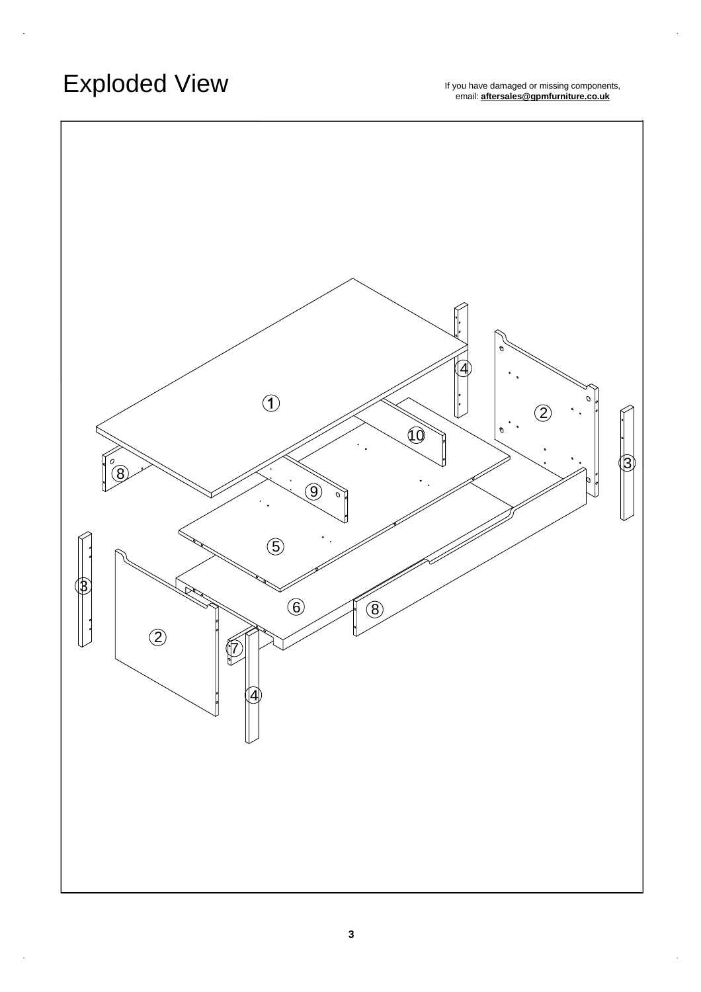# Exploded View

If you have damaged or missing components,<br>email: **[aftersales@gpmfurniture.co.uk](mailto:aftersales@gpmfurniture.co.uk)** 

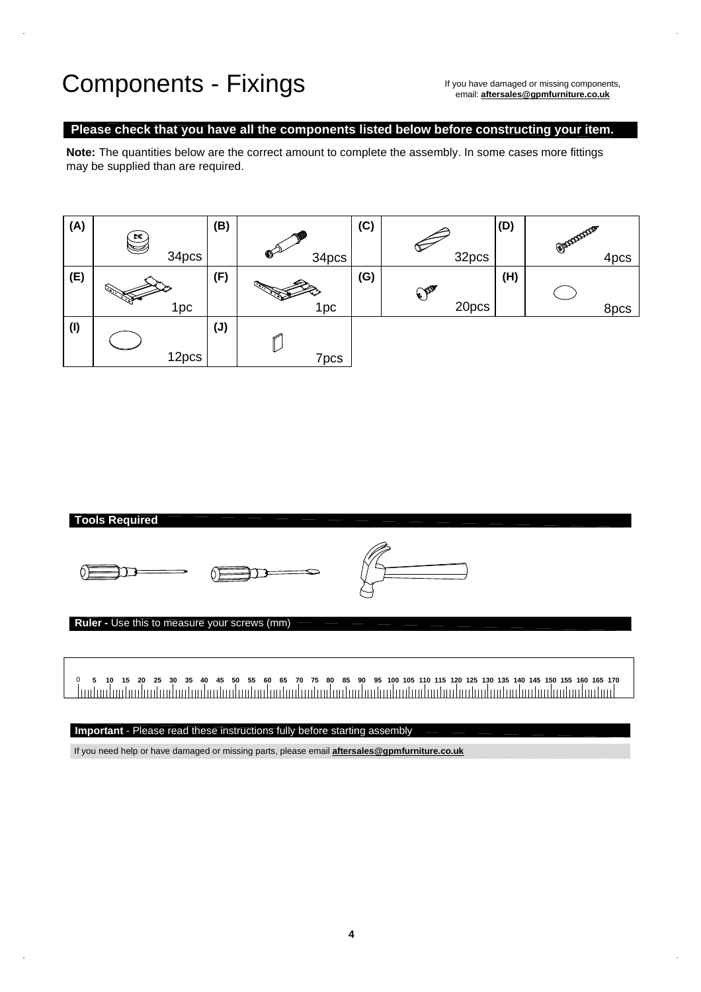#### Components - Fixings

If you have damaged or missing components, email: **[aftersales@gpmfurniture.co.uk](mailto:aftersales@gpmfurniture.co.uk)**

#### **Please check that you have all the components listed below before constructing your item.**

**Note:** The quantities below are the correct amount to complete the assembly. In some cases more fittings may be supplied than are required.





**Important** - Please read these instructions fully before starting assembly

If you need help or have damaged or missing parts, please email **[aftersales@gpmfurniture.co.uk](mailto:aftersales@gpmfurniture.co.uk)**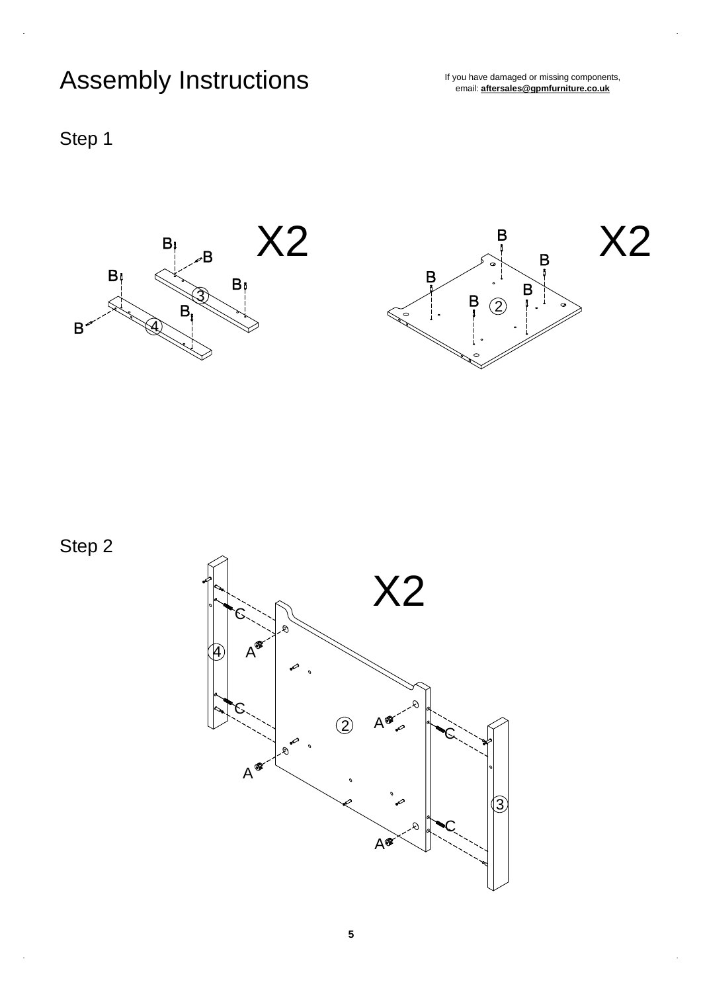# Assembly Instructions

If you have damaged or missing components,<br>email: **[aftersales@gpmfurniture.co.uk](mailto:aftersales@gpmfurniture.co.uk)** 





Step 2

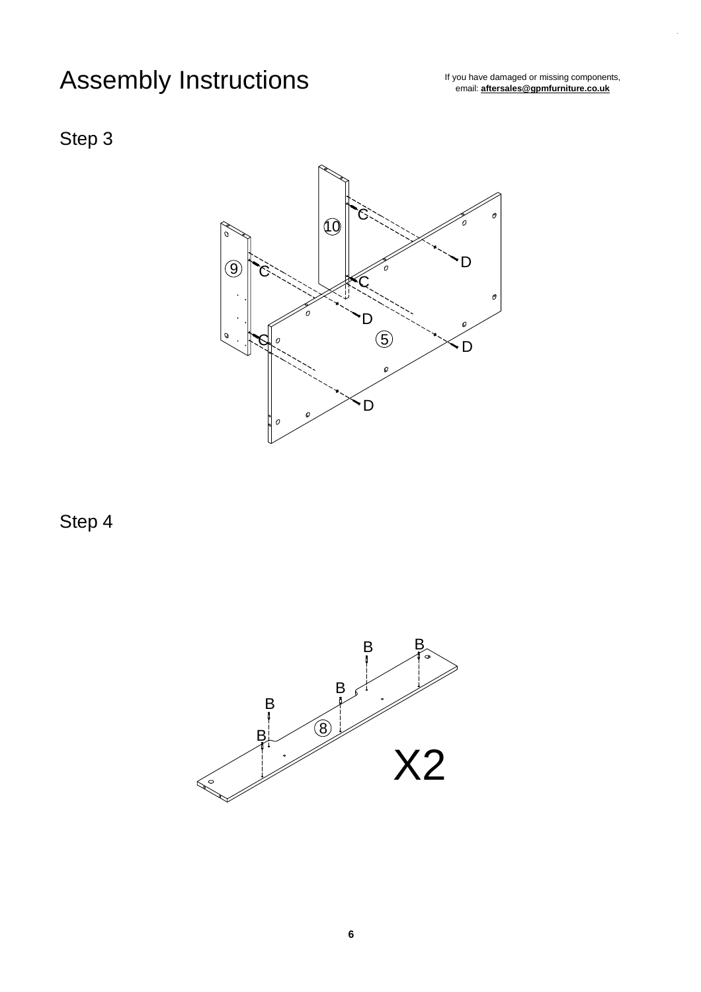# Assembly Instructions

If you have damaged or missing components,<br>email: **[aftersales@gpmfurniture.co.uk](mailto:aftersales@gpmfurniture.co.uk)** 

#### Step 3



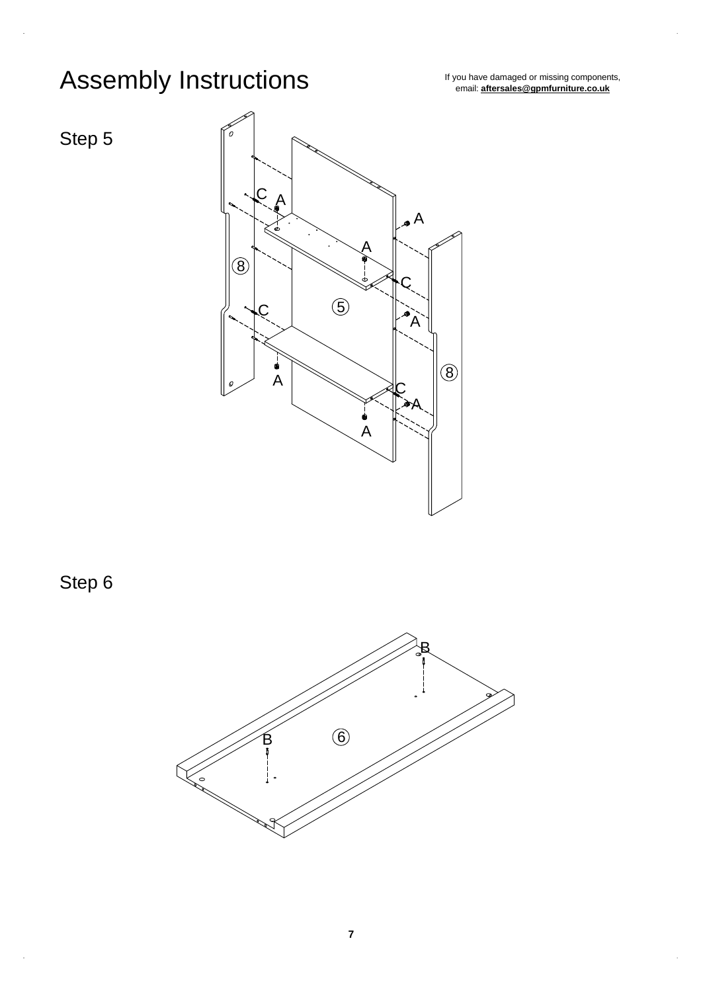# Assembly Instructions<br> *If you have damaged or missing components*,<br> *If you have damaged or missing components*,

email: **[aftersales@gpmfurniture.co.uk](mailto:aftersales@gpmfurniture.co.uk)**





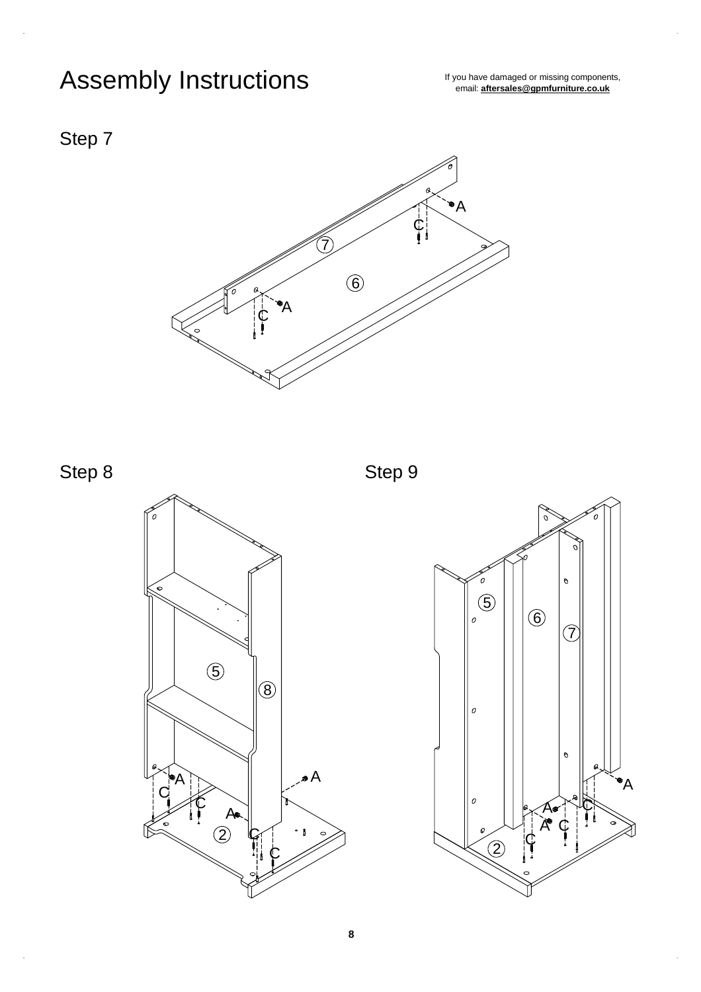# Assembly Instructions<br> *If you have damaged or missing components,*<br> *If you have damaged or missing components*,

email: **[aftersales@gpmfurniture.co.uk](mailto:aftersales@gpmfurniture.co.uk)**





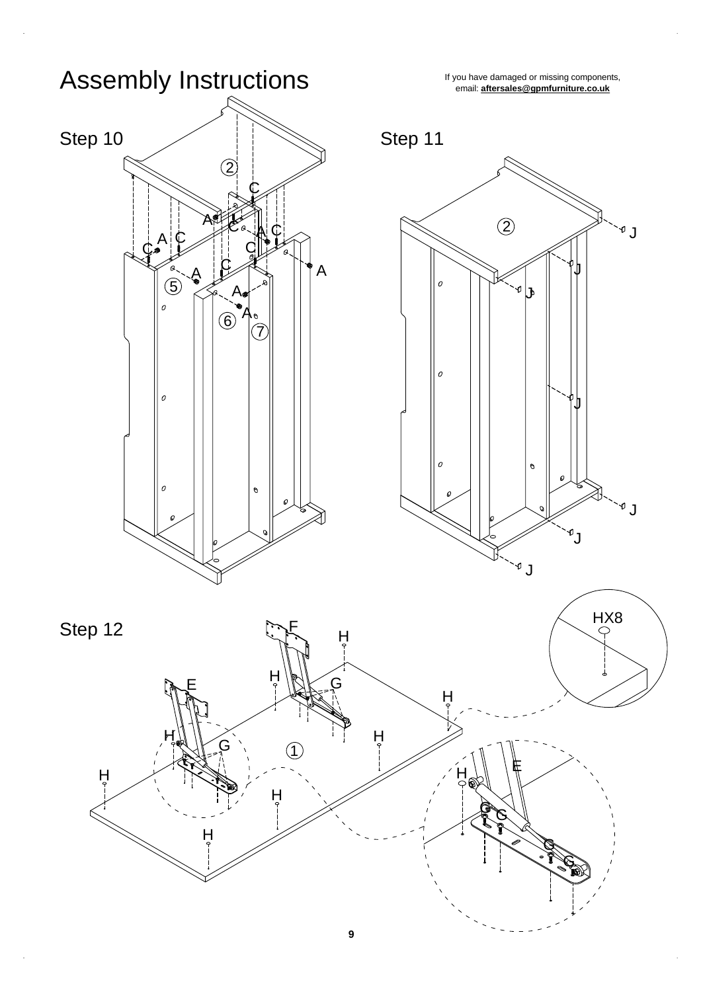